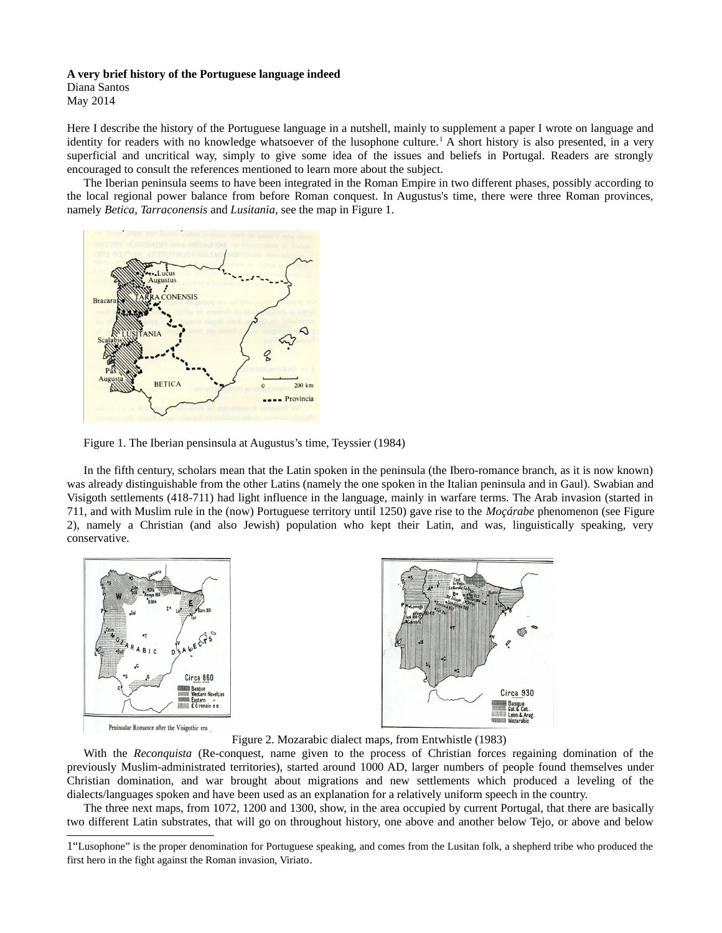## **A very brief history of the Portuguese language indeed**

Diana Santos May 2014

Here I describe the history of the Portuguese language in a nutshell, mainly to supplement a paper I wrote on language and identity for readers with no knowledge whatsoever of the lusophone culture.<sup>[1](#page-0-0)</sup> A short history is also presented, in a very superficial and uncritical way, simply to give some idea of the issues and beliefs in Portugal. Readers are strongly encouraged to consult the references mentioned to learn more about the subject.

The Iberian peninsula seems to have been integrated in the Roman Empire in two different phases, possibly according to the local regional power balance from before Roman conquest. In Augustus's time, there were three Roman provinces, namely *Betica*, *Tarraconensis* and *Lusitania*, see the map in Figure 1.



Figure 1. The Iberian pensinsula at Augustus's time, Teyssier (1984)

In the fifth century, scholars mean that the Latin spoken in the peninsula (the Ibero-romance branch, as it is now known) was already distinguishable from the other Latins (namely the one spoken in the Italian peninsula and in Gaul). Swabian and Visigoth settlements (418-711) had light influence in the language, mainly in warfare terms. The Arab invasion (started in 711, and with Muslim rule in the (now) Portuguese territory until 1250) gave rise to the *Moçárabe* phenomenon (see Figure 2), namely a Christian (and also Jewish) population who kept their Latin, and was, linguistically speaking, very conservative.





Figure 2. Mozarabic dialect maps, from Entwhistle (1983)

With the *Reconquista* (Re-conquest, name given to the process of Christian forces regaining domination of the previously Muslim-administrated territories), started around 1000 AD, larger numbers of people found themselves under Christian domination, and war brought about migrations and new settlements which produced a leveling of the dialects/languages spoken and have been used as an explanation for a relatively uniform speech in the country.

The three next maps, from 1072, 1200 and 1300, show, in the area occupied by current Portugal, that there are basically two different Latin substrates, that will go on throughout history, one above and another below Tejo, or above and below

<span id="page-0-0"></span><sup>1&</sup>quot;Lusophone" is the proper denomination for Portuguese speaking, and comes from the Lusitan folk, a shepherd tribe who produced the first hero in the fight against the Roman invasion, Viriato.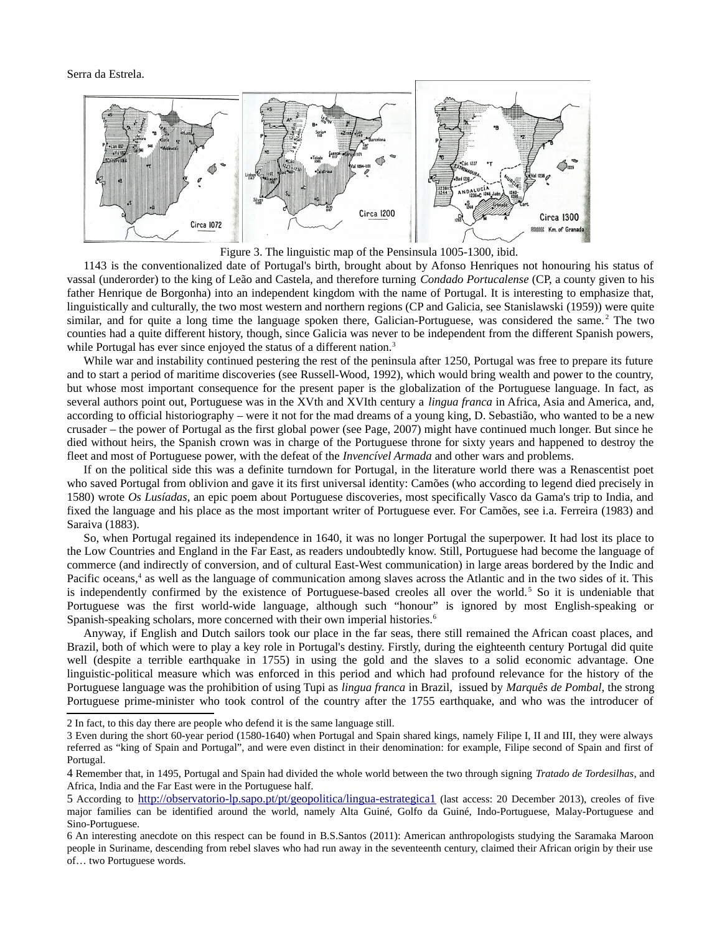

Figure 3. The linguistic map of the Pensinsula 1005-1300, ibid.

1143 is the conventionalized date of Portugal's birth, brought about by Afonso Henriques not honouring his status of vassal (underorder) to the king of Leão and Castela, and therefore turning *Condado Portucalense* (CP, a county given to his father Henrique de Borgonha) into an independent kingdom with the name of Portugal. It is interesting to emphasize that, linguistically and culturally, the two most western and northern regions (CP and Galicia, see Stanislawski (1959)) were quite similar, and for quite a long time the language spoken there, Galician-Portuguese, was considered the same.<sup>[2](#page-1-0)</sup> The two counties had a quite different history, though, since Galicia was never to be independent from the different Spanish powers, while Portugal has ever since enjoyed the status of a different nation.<sup>[3](#page-1-1)</sup>

While war and instability continued pestering the rest of the peninsula after 1250, Portugal was free to prepare its future and to start a period of maritime discoveries (see Russell-Wood, 1992), which would bring wealth and power to the country, but whose most important consequence for the present paper is the globalization of the Portuguese language. In fact, as several authors point out, Portuguese was in the XVth and XVIth century a *lingua franca* in Africa, Asia and America, and, according to official historiography – were it not for the mad dreams of a young king, D. Sebastião, who wanted to be a new crusader – the power of Portugal as the first global power (see Page, 2007) might have continued much longer. But since he died without heirs, the Spanish crown was in charge of the Portuguese throne for sixty years and happened to destroy the fleet and most of Portuguese power, with the defeat of the *Invencível Armada* and other wars and problems.

If on the political side this was a definite turndown for Portugal, in the literature world there was a Renascentist poet who saved Portugal from oblivion and gave it its first universal identity: Camões (who according to legend died precisely in 1580) wrote *Os Lusíadas*, an epic poem about Portuguese discoveries, most specifically Vasco da Gama's trip to India, and fixed the language and his place as the most important writer of Portuguese ever. For Camões, see i.a. Ferreira (1983) and Saraiva (1883).

So, when Portugal regained its independence in 1640, it was no longer Portugal the superpower. It had lost its place to the Low Countries and England in the Far East, as readers undoubtedly know. Still, Portuguese had become the language of commerce (and indirectly of conversion, and of cultural East-West communication) in large areas bordered by the Indic and Pacific oceans,<sup>[4](#page-1-2)</sup> as well as the language of communication among slaves across the Atlantic and in the two sides of it. This is independently confirmed by the existence of Portuguese-based creoles all over the world.<sup>[5](#page-1-3)</sup> So it is undeniable that Portuguese was the first world-wide language, although such "honour" is ignored by most English-speaking or Spanish-speaking scholars, more concerned with their own imperial histories.<sup>[6](#page-1-4)</sup>

Anyway, if English and Dutch sailors took our place in the far seas, there still remained the African coast places, and Brazil, both of which were to play a key role in Portugal's destiny. Firstly, during the eighteenth century Portugal did quite well (despite a terrible earthquake in 1755) in using the gold and the slaves to a solid economic advantage. One linguistic-political measure which was enforced in this period and which had profound relevance for the history of the Portuguese language was the prohibition of using Tupi as *lingua franca* in Brazil, issued by *Marquês de Pombal*, the strong Portuguese prime-minister who took control of the country after the 1755 earthquake, and who was the introducer of

<span id="page-1-0"></span><sup>2</sup> In fact, to this day there are people who defend it is the same language still.

<span id="page-1-1"></span><sup>3</sup> Even during the short 60-year period (1580-1640) when Portugal and Spain shared kings, namely Filipe I, II and III, they were always referred as "king of Spain and Portugal", and were even distinct in their denomination: for example, Filipe second of Spain and first of Portugal.

<span id="page-1-2"></span><sup>4</sup> Remember that, in 1495, Portugal and Spain had divided the whole world between the two through signing *Tratado de Tordesilhas*, and Africa, India and the Far East were in the Portuguese half.

<span id="page-1-3"></span><sup>5</sup> According to <http://observatorio-lp.sapo.pt/pt/geopolitica/lingua-estrategica1> (last access: 20 December 2013), creoles of five major families can be identified around the world, namely Alta Guiné, Golfo da Guiné, Indo-Portuguese, Malay-Portuguese and Sino-Portuguese.

<span id="page-1-4"></span><sup>6</sup> An interesting anecdote on this respect can be found in B.S.Santos (2011): American anthropologists studying the Saramaka Maroon people in Suriname, descending from rebel slaves who had run away in the seventeenth century, claimed their African origin by their use of… two Portuguese words.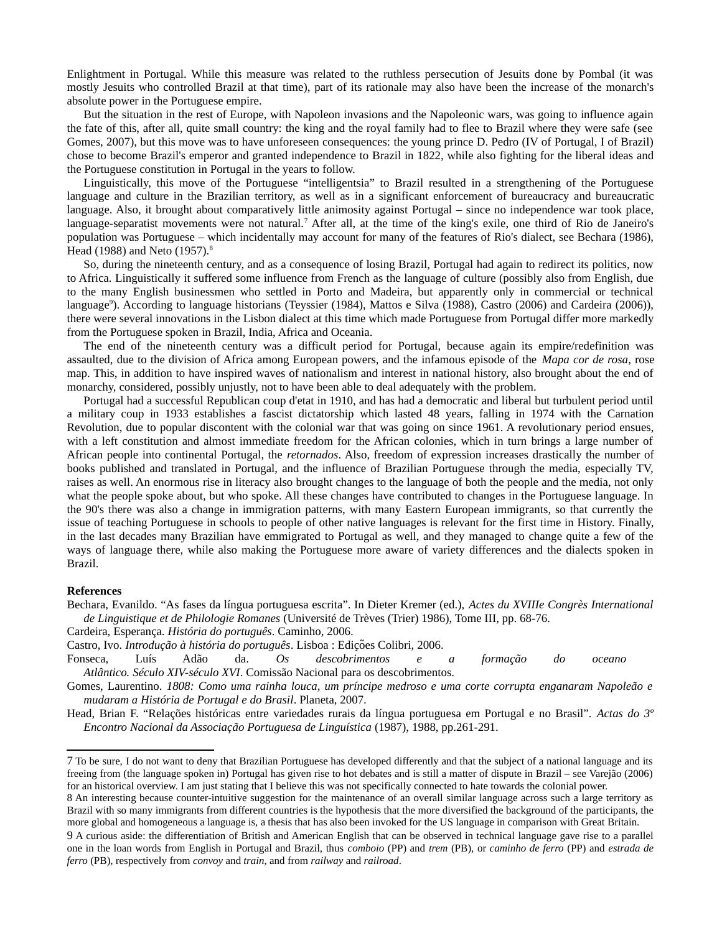Enlightment in Portugal. While this measure was related to the ruthless persecution of Jesuits done by Pombal (it was mostly Jesuits who controlled Brazil at that time), part of its rationale may also have been the increase of the monarch's absolute power in the Portuguese empire.

But the situation in the rest of Europe, with Napoleon invasions and the Napoleonic wars, was going to influence again the fate of this, after all, quite small country: the king and the royal family had to flee to Brazil where they were safe (see Gomes, 2007), but this move was to have unforeseen consequences: the young prince D. Pedro (IV of Portugal, I of Brazil) chose to become Brazil's emperor and granted independence to Brazil in 1822, while also fighting for the liberal ideas and the Portuguese constitution in Portugal in the years to follow.

Linguistically, this move of the Portuguese "intelligentsia" to Brazil resulted in a strengthening of the Portuguese language and culture in the Brazilian territory, as well as in a significant enforcement of bureaucracy and bureaucratic language. Also, it brought about comparatively little animosity against Portugal – since no independence war took place, language-separatist movements were not natural.<sup>[7](#page-2-0)</sup> After all, at the time of the king's exile, one third of Rio de Janeiro's population was Portuguese – which incidentally may account for many of the features of Rio's dialect, see Bechara (1986), Head (19[8](#page-2-1)8) and Neto (1957).<sup>8</sup>

So, during the nineteenth century, and as a consequence of losing Brazil, Portugal had again to redirect its politics, now to Africa. Linguistically it suffered some influence from French as the language of culture (possibly also from English, due to the many English businessmen who settled in Porto and Madeira, but apparently only in commercial or technical language<sup>[9](#page-2-2)</sup>). According to language historians (Teyssier (1984), Mattos e Silva (1988), Castro (2006) and Cardeira (2006)), there were several innovations in the Lisbon dialect at this time which made Portuguese from Portugal differ more markedly from the Portuguese spoken in Brazil, India, Africa and Oceania.

The end of the nineteenth century was a difficult period for Portugal, because again its empire/redefinition was assaulted, due to the division of Africa among European powers, and the infamous episode of the *Mapa cor de rosa*, rose map. This, in addition to have inspired waves of nationalism and interest in national history, also brought about the end of monarchy, considered, possibly unjustly, not to have been able to deal adequately with the problem.

Portugal had a successful Republican coup d'etat in 1910, and has had a democratic and liberal but turbulent period until a military coup in 1933 establishes a fascist dictatorship which lasted 48 years, falling in 1974 with the Carnation Revolution, due to popular discontent with the colonial war that was going on since 1961. A revolutionary period ensues, with a left constitution and almost immediate freedom for the African colonies, which in turn brings a large number of African people into continental Portugal, the *retornados*. Also, freedom of expression increases drastically the number of books published and translated in Portugal, and the influence of Brazilian Portuguese through the media, especially TV, raises as well. An enormous rise in literacy also brought changes to the language of both the people and the media, not only what the people spoke about, but who spoke. All these changes have contributed to changes in the Portuguese language. In the 90's there was also a change in immigration patterns, with many Eastern European immigrants, so that currently the issue of teaching Portuguese in schools to people of other native languages is relevant for the first time in History. Finally, in the last decades many Brazilian have emmigrated to Portugal as well, and they managed to change quite a few of the ways of language there, while also making the Portuguese more aware of variety differences and the dialects spoken in Brazil.

## **References**

Bechara, Evanildo. "As fases da língua portuguesa escrita". In Dieter Kremer (ed.), *Actes du XVIIIe Congrès International de Linguistique et de Philologie Romanes* (Université de Trèves (Trier) 1986), Tome III, pp. 68-76.

Cardeira, Esperança. *História do português*. Caminho, 2006.

Castro, Ivo. *Introdução à história do português*. Lisboa : Edições Colibri, 2006.

Fonseca, Luís Adão da. *Os descobrimentos e a formação do oceano Atlântico. Século XIV-século XVI*. Comissão Nacional para os descobrimentos.

Gomes, Laurentino. *1808: Como uma rainha louca, um príncipe medroso e uma corte corrupta enganaram Napoleão e mudaram a História de Portugal e do Brasil*. Planeta, 2007.

Head, Brian F. "Relações históricas entre variedades rurais da língua portuguesa em Portugal e no Brasil". *Actas do 3º Encontro Nacional da Associação Portuguesa de Linguística* (1987), 1988, pp.261-291.

<span id="page-2-0"></span><sup>7</sup> To be sure, I do not want to deny that Brazilian Portuguese has developed differently and that the subject of a national language and its freeing from (the language spoken in) Portugal has given rise to hot debates and is still a matter of dispute in Brazil – see Varejão (2006) for an historical overview. I am just stating that I believe this was not specifically connected to hate towards the colonial power.

<span id="page-2-1"></span><sup>8</sup> An interesting because counter-intuitive suggestion for the maintenance of an overall similar language across such a large territory as Brazil with so many immigrants from different countries is the hypothesis that the more diversified the background of the participants, the more global and homogeneous a language is, a thesis that has also been invoked for the US language in comparison with Great Britain.

<span id="page-2-2"></span><sup>9</sup> A curious aside: the differentiation of British and American English that can be observed in technical language gave rise to a parallel one in the loan words from English in Portugal and Brazil, thus *comboio* (PP) and *trem* (PB), or *caminho de ferro* (PP) and *estrada de ferro* (PB), respectively from *convoy* and *train*, and from *railway* and *railroad*.